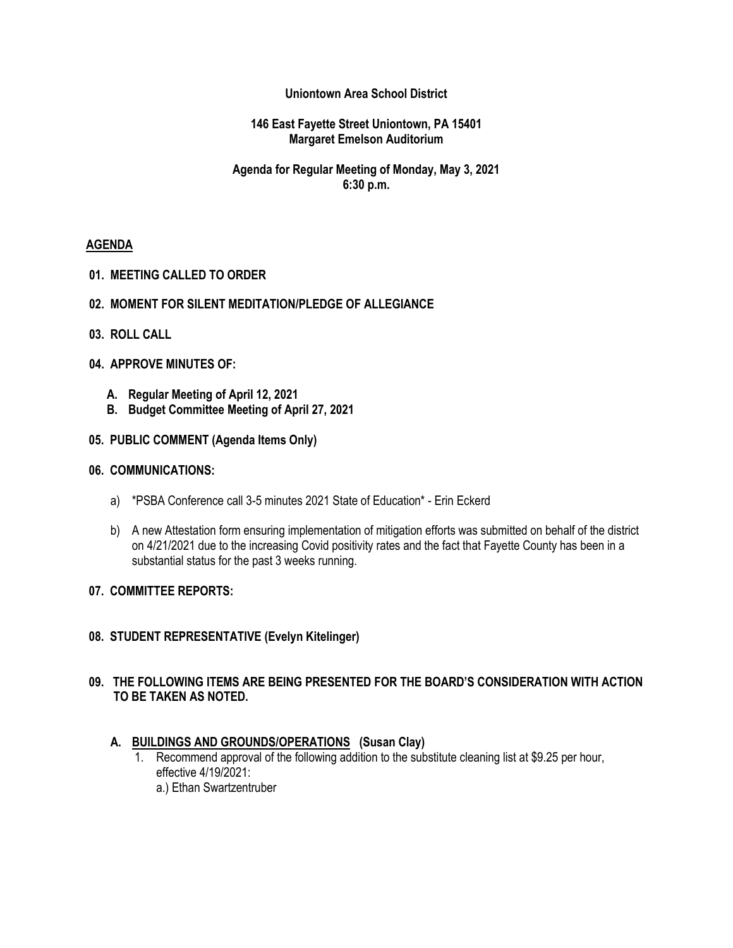## **Uniontown Area School District**

### **146 East Fayette Street Uniontown, PA 15401 Margaret Emelson Auditorium**

## **Agenda for Regular Meeting of Monday, May 3, 2021 6:30 p.m.**

### **AGENDA**

**01. MEETING CALLED TO ORDER**

### **02. MOMENT FOR SILENT MEDITATION/PLEDGE OF ALLEGIANCE**

**03. ROLL CALL**

### **04. APPROVE MINUTES OF:**

- **A. Regular Meeting of April 12, 2021**
- **B. Budget Committee Meeting of April 27, 2021**

### **05. PUBLIC COMMENT (Agenda Items Only)**

### **06. COMMUNICATIONS:**

- a) \*PSBA Conference call 3-5 minutes 2021 State of Education\* Erin Eckerd
- b) A new Attestation form ensuring implementation of mitigation efforts was submitted on behalf of the district on 4/21/2021 due to the increasing Covid positivity rates and the fact that Fayette County has been in a substantial status for the past 3 weeks running.

### **07. COMMITTEE REPORTS:**

**08. STUDENT REPRESENTATIVE (Evelyn Kitelinger)**

### **09. THE FOLLOWING ITEMS ARE BEING PRESENTED FOR THE BOARD'S CONSIDERATION WITH ACTION TO BE TAKEN AS NOTED.**

### **A. BUILDINGS AND GROUNDS/OPERATIONS (Susan Clay)**

1. Recommend approval of the following addition to the substitute cleaning list at \$9.25 per hour, effective 4/19/2021: a.) Ethan Swartzentruber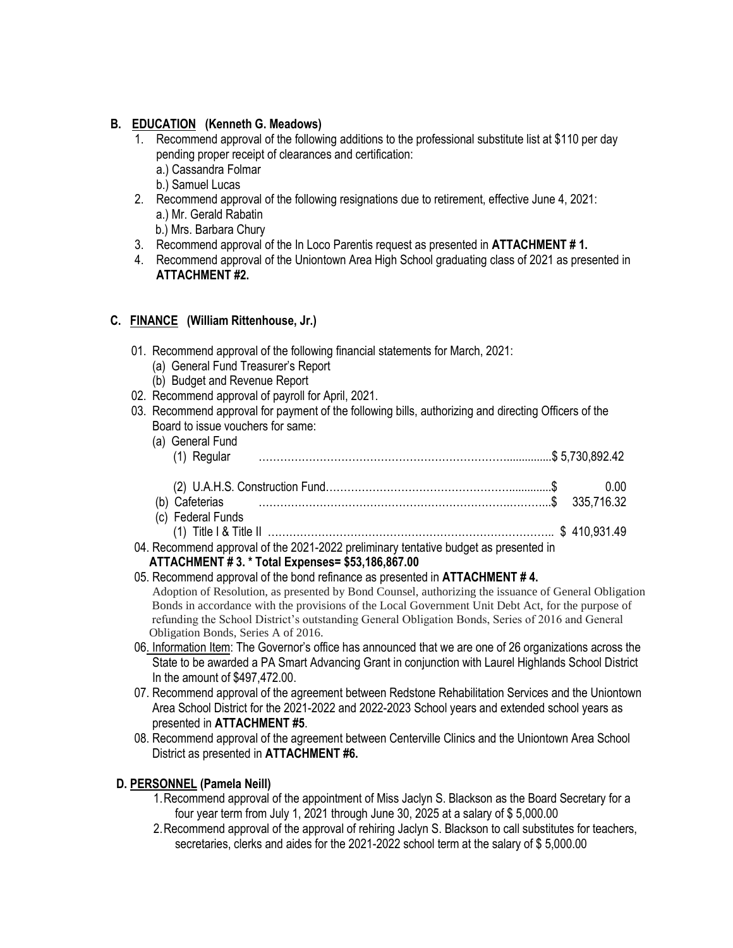# **B. EDUCATION (Kenneth G. Meadows)**

- 1. Recommend approval of the following additions to the professional substitute list at \$110 per day pending proper receipt of clearances and certification:
	- a.) Cassandra Folmar
	- b.) Samuel Lucas
- 2. Recommend approval of the following resignations due to retirement, effective June 4, 2021: a.) Mr. Gerald Rabatin
	- b.) Mrs. Barbara Chury
- 3. Recommend approval of the In Loco Parentis request as presented in **ATTACHMENT # 1.**
- 4. Recommend approval of the Uniontown Area High School graduating class of 2021 as presented in **ATTACHMENT #2.**

# **C. FINANCE (William Rittenhouse, Jr.)**

- 01. Recommend approval of the following financial statements for March, 2021:
	- (a) General Fund Treasurer's Report
	- (b) Budget and Revenue Report
- 02. Recommend approval of payroll for April, 2021.
- 03. Recommend approval for payment of the following bills, authorizing and directing Officers of the Board to issue vouchers for same:

| (a) General Fund<br>(1) Regular                                                                           |      |
|-----------------------------------------------------------------------------------------------------------|------|
| (b) Cafeterias 235,716.32                                                                                 | 0.00 |
| (c) Federal Funds<br>04. Recommend approval of the 2021-2022 preliminary tentative budget as presented in |      |

## **ATTACHMENT # 3. \* Total Expenses= \$53,186,867.00**

- 05. Recommend approval of the bond refinance as presented in **ATTACHMENT # 4.** Adoption of Resolution, as presented by Bond Counsel, authorizing the issuance of General Obligation Bonds in accordance with the provisions of the Local Government Unit Debt Act, for the purpose of refunding the School District's outstanding General Obligation Bonds, Series of 2016 and General Obligation Bonds, Series A of 2016.
- 06. Information Item: The Governor's office has announced that we are one of 26 organizations across the State to be awarded a PA Smart Advancing Grant in conjunction with Laurel Highlands School District In the amount of \$497,472.00.
- 07. Recommend approval of the agreement between Redstone Rehabilitation Services and the Uniontown Area School District for the 2021-2022 and 2022-2023 School years and extended school years as presented in **ATTACHMENT #5**.
- 08. Recommend approval of the agreement between Centerville Clinics and the Uniontown Area School District as presented in **ATTACHMENT #6.**

# **D. PERSONNEL (Pamela Neill)**

- 1.Recommend approval of the appointment of Miss Jaclyn S. Blackson as the Board Secretary for a four year term from July 1, 2021 through June 30, 2025 at a salary of \$ 5,000.00
- 2.Recommend approval of the approval of rehiring Jaclyn S. Blackson to call substitutes for teachers, secretaries, clerks and aides for the 2021-2022 school term at the salary of \$ 5,000.00